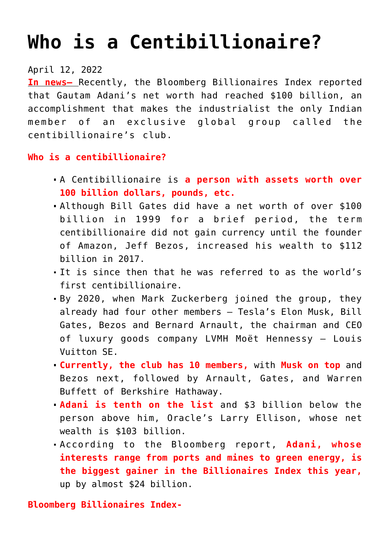## **[Who is a Centibillionaire?](https://journalsofindia.com/who-is-a-centibillionaire/)**

## April 12, 2022

**In news–** Recently, the Bloomberg Billionaires Index reported that Gautam Adani's net worth had reached \$100 billion, an accomplishment that makes the industrialist the only Indian member of an exclusive global group called the centibillionaire's club.

## **Who is a centibillionaire?**

- A Centibillionaire is **a person with assets worth over 100 billion dollars, pounds, etc.**
- Although Bill Gates did have a net worth of over \$100 billion in 1999 for a brief period, the term centibillionaire did not gain currency until the founder of Amazon, Jeff Bezos, increased his wealth to \$112 billion in 2017.
- It is since then that he was referred to as the world's first centibillionaire.
- By 2020, when Mark Zuckerberg joined the group, they already had four other members — Tesla's Elon Musk, Bill Gates, Bezos and Bernard Arnault, the chairman and CEO of luxury goods company LVMH Moët Hennessy – Louis Vuitton SE.
- **Currently, the club has 10 members,** with **Musk on top** and Bezos next, followed by Arnault, Gates, and Warren Buffett of Berkshire Hathaway.
- **Adani is tenth on the list** and \$3 billion below the person above him, Oracle's Larry Ellison, whose net wealth is \$103 billion.
- According to the Bloomberg report, **Adani, whose interests range from ports and mines to green energy, is the biggest gainer in the Billionaires Index this year,** up by almost \$24 billion.

**Bloomberg Billionaires Index-**